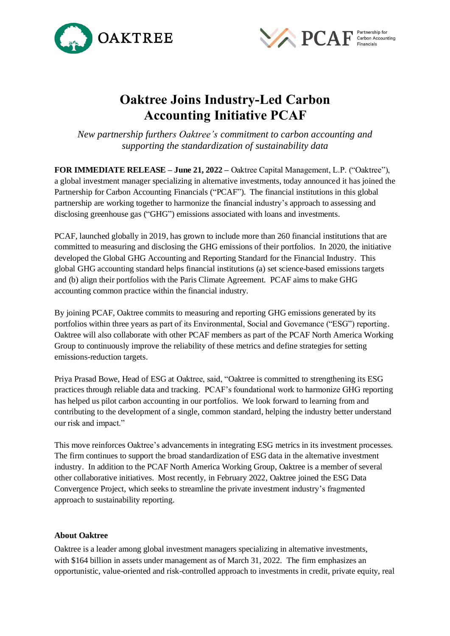



## **Oaktree Joins Industry-Led Carbon Accounting Initiative PCAF**

*New partnership furthers Oaktree's commitment to carbon accounting and supporting the standardization of sustainability data*

**FOR IMMEDIATE RELEASE – June 21, 2022 –** Oaktree Capital Management, L.P. ("Oaktree"), a global investment manager specializing in alternative investments, today announced it has joined the Partnership for Carbon Accounting Financials ("PCAF"). The financial institutions in this global partnership are working together to harmonize the financial industry's approach to assessing and disclosing greenhouse gas ("GHG") emissions associated with loans and investments.

PCAF, launched globally in 2019, has grown to include more than 260 financial institutions that are committed to measuring and disclosing the GHG emissions of their portfolios. In 2020, the initiative developed the Global GHG Accounting and Reporting Standard for the Financial Industry. This global GHG accounting standard helps financial institutions (a) set science-based emissions targets and (b) align their portfolios with the Paris Climate Agreement. PCAF aims to make GHG accounting common practice within the financial industry.

By joining PCAF, Oaktree commits to measuring and reporting GHG emissions generated by its portfolios within three years as part of its Environmental, Social and Governance ("ESG") reporting. Oaktree will also collaborate with other PCAF members as part of the PCAF North America Working Group to continuously improve the reliability of these metrics and define strategies for setting emissions-reduction targets.

Priya Prasad Bowe, Head of ESG at Oaktree, said, "Oaktree is committed to strengthening its ESG practices through reliable data and tracking. PCAF's foundational work to harmonize GHG reporting has helped us pilot carbon accounting in our portfolios. We look forward to learning from and contributing to the development of a single, common standard, helping the industry better understand our risk and impact."

This move reinforces Oaktree's advancements in integrating ESG metrics in its investment processes. The firm continues to support the broad standardization of ESG data in the alternative investment industry. In addition to the PCAF North America Working Group, Oaktree is a member of several other collaborative initiatives. Most recently, in February 2022, Oaktree joined the ESG Data Convergence Project, which seeks to streamline the private investment industry's fragmented approach to sustainability reporting.

## **About Oaktree**

Oaktree is a leader among global investment managers specializing in alternative investments, with \$164 billion in assets under management as of March 31, 2022. The firm emphasizes an opportunistic, value-oriented and risk-controlled approach to investments in credit, private equity, real